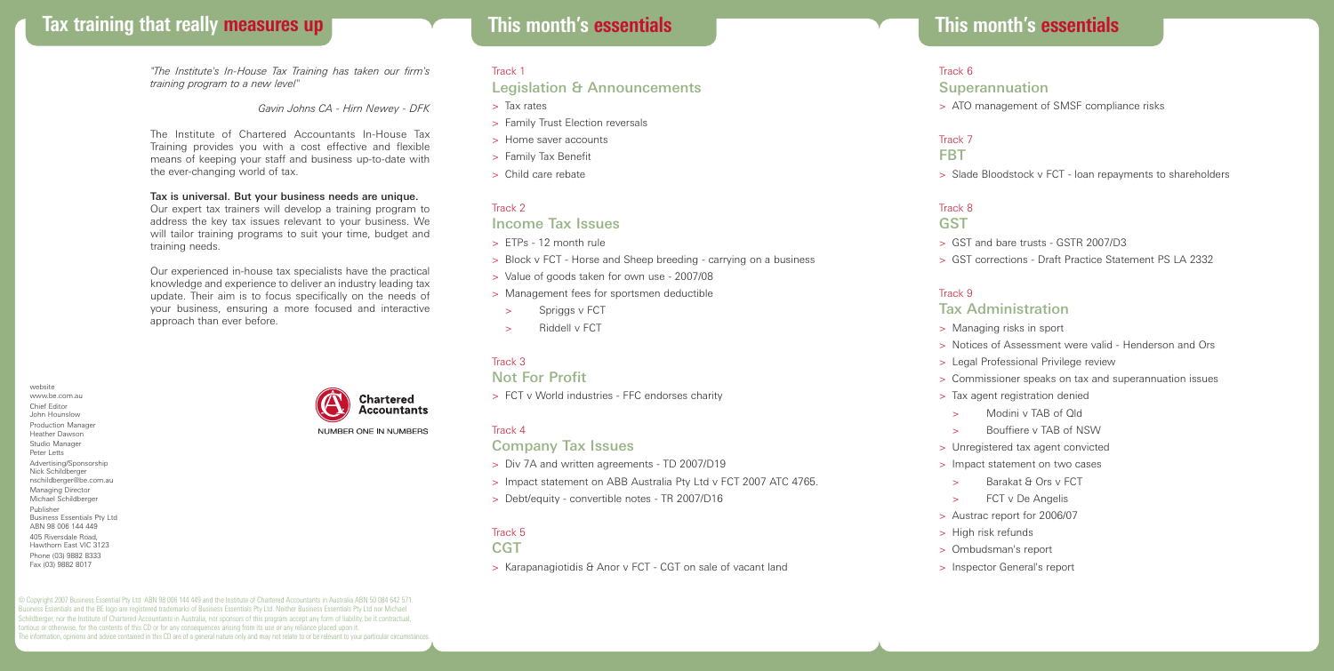# **Tax training that really measures up This month's essentials**

*"The Institute's In-House Tax Training has taken our firm's training program to a new level"*

*Gavin Johns CA - Hirn Newey - DFK*

The Institute of Chartered Accountants In-House Tax Training provides you with a cost effective and flexible means of keeping your staff and business up-to-date with the ever-changing world of tax.

#### Tax is universal. But your business needs are unique.

Our expert tax trainers will develop a training program to address the key tax issues relevant to your business. We will tailor training programs to suit your time, budget and training needs.

Our experienced in-house tax specialists have the practical knowledge and experience to deliver an industry leading tax update. Their aim is to focus specifically on the needs of your business, ensuring a more focused and interactive approach than ever before.

website www.be.com.au Chief Editor John Hounslow Production Manager Heather Dawson Studio Manager Peter Letts Advertising/Sponsorship Nick Schildberger nschildberger@be.com.au Managing Director Michael Schildberger Publisher Business Essentials Pty Ltd ABN 98 006 144 449 405 Riversdale Road, Hawthorn East VIC 3123 Phone (03) 9882 8333 Fax (03) 9882 8017

**Chartered Accountants** NUMBER ONE IN NUMBERS

# **This month's essentials**

#### Track 1

## Legislation & Announcements

- > Tax rates
- > Family Trust Election reversals
- > Home saver accounts
- > Family Tax Benefit
- > Child care rebate

#### Track 2

#### Income Tax Issues

- > ETPs 12 month rule
- > Block v FCT Horse and Sheep breeding carrying on a business
- > Value of goods taken for own use 2007/08
- > Management fees for sportsmen deductible
- Spriggs v FCT
- Riddell v FCT

## Track 3

### Not For Profit

> FCT v World industries - FFC endorses charity

#### Track 4

#### Company Tax Issues

- > Div 7A and written agreements TD 2007/D19
- > Impact statement on ABB Australia Pty Ltd v FCT 2007 ATC 4765.
- > Debt/equity convertible notes TR 2007/D16

## Track 5

- **CGT**
- > Karapanagiotidis & Anor v FCT CGT on sale of vacant land

#### Track 6

#### **Superannuation**

> ATO management of SMSF compliance risks

# Track 7

## FBT

> Slade Bloodstock v FCT - loan repayments to shareholders

#### Track 8

#### **GST**

- > GST and bare trusts GSTR 2007/D3
- > GST corrections Draft Practice Statement PS LA 2332

#### Track 9

#### Tax Administration

- > Managing risks in sport
- > Notices of Assessment were valid Henderson and Ors
- > Legal Professional Privilege review
- > Commissioner speaks on tax and superannuation issues
- > Tax agent registration denied
- > Modini v TAB of Qld
- > Bouffiere v TAB of NSW
- > Unregistered tax agent convicted
- > Impact statement on two cases
- > Barakat & Ors v FCT
- > FCT v De Angelis
- > Austrac report for 2006/07
- > High risk refunds
- > Ombudsman's report
- > Inspector General's report

© Copyright 2007 Business Essential Pty Ltd ABN 98 006 144 449 and the Institute of Chartered Accountants in Australia ABN 50 084 642 571. Business Essentials and the BE logo are registered trademarks of Business Essentials Pty Ltd. Neither Business Essentials Pty Ltd nor Michael Schildberger, nor the Institute of Chartered Accountants in Australia, nor sponsors of this program accept any form of liability, be it contractual, tortious or otherwise, for the contents of this CD or for any consequences arising from its use or any reliance placed upon it. The information, opinions and advice contained in this CD are of a general nature only and may not relate to or be relevant to your particular circumstances.